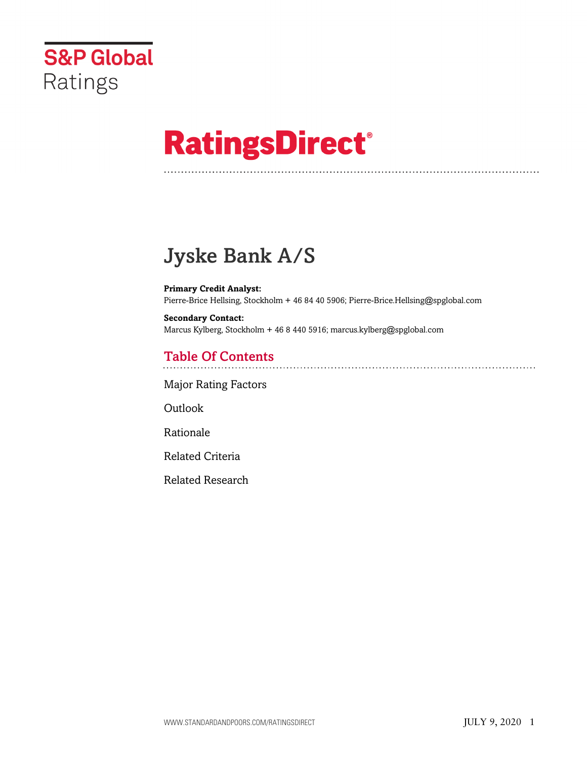

# **RatingsDirect®**

# Jyske Bank A/S

**Primary Credit Analyst:** Pierre-Brice Hellsing, Stockholm + 46 84 40 5906; Pierre-Brice.Hellsing@spglobal.com

**Secondary Contact:** Marcus Kylberg, Stockholm + 46 8 440 5916; marcus.kylberg@spglobal.com

# Table Of Contents

[Major Rating Factors](#page-1-0)

Outlook

[Rationale](#page-2-0)

[Related Criteria](#page-12-0)

[Related Research](#page-13-0)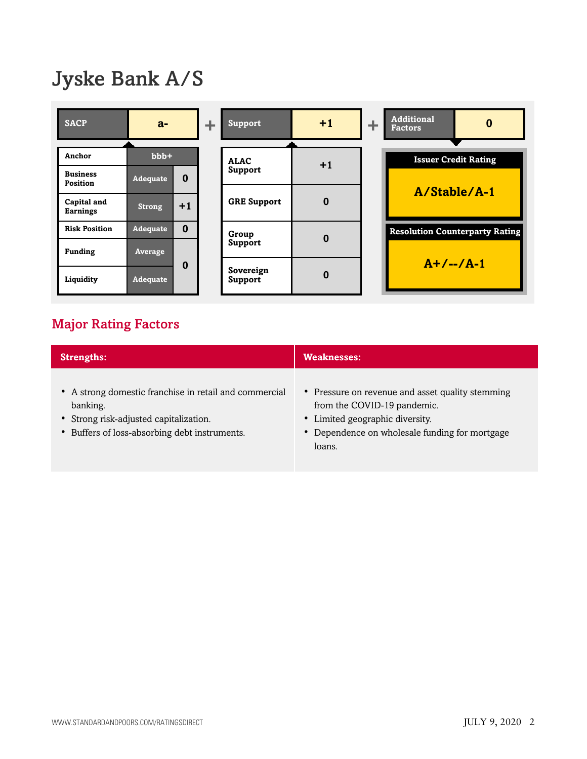# Jyske Bank A/S



# <span id="page-1-0"></span>Major Rating Factors

| <b>Strengths:</b>                                                                                                                                             | <b>Weaknesses:</b>                                                                                                                                                             |
|---------------------------------------------------------------------------------------------------------------------------------------------------------------|--------------------------------------------------------------------------------------------------------------------------------------------------------------------------------|
| • A strong domestic franchise in retail and commercial<br>banking.<br>• Strong risk-adjusted capitalization.<br>• Buffers of loss-absorbing debt instruments. | • Pressure on revenue and asset quality stemming<br>from the COVID-19 pandemic.<br>• Limited geographic diversity.<br>• Dependence on wholesale funding for mortgage<br>loans. |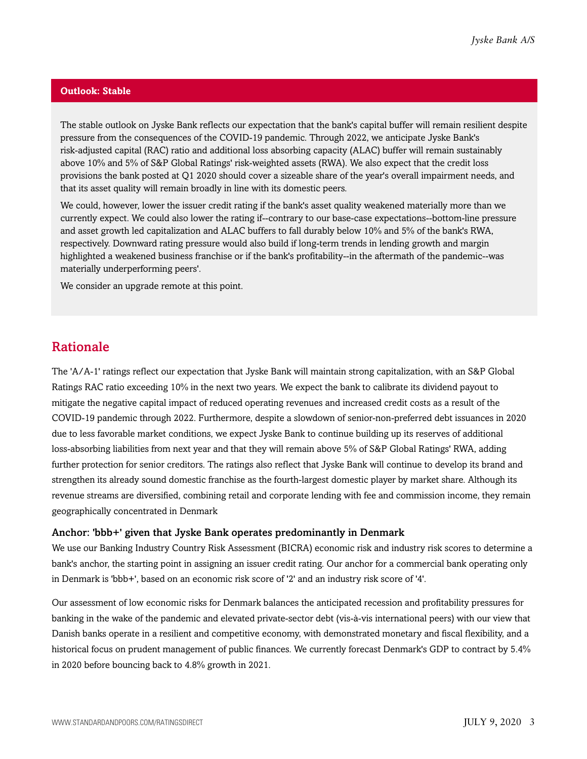#### **Outlook: Stable**

The stable outlook on Jyske Bank reflects our expectation that the bank's capital buffer will remain resilient despite pressure from the consequences of the COVID-19 pandemic. Through 2022, we anticipate Jyske Bank's risk-adjusted capital (RAC) ratio and additional loss absorbing capacity (ALAC) buffer will remain sustainably above 10% and 5% of S&P Global Ratings' risk-weighted assets (RWA). We also expect that the credit loss provisions the bank posted at Q1 2020 should cover a sizeable share of the year's overall impairment needs, and that its asset quality will remain broadly in line with its domestic peers.

We could, however, lower the issuer credit rating if the bank's asset quality weakened materially more than we currently expect. We could also lower the rating if--contrary to our base-case expectations--bottom-line pressure and asset growth led capitalization and ALAC buffers to fall durably below 10% and 5% of the bank's RWA, respectively. Downward rating pressure would also build if long-term trends in lending growth and margin highlighted a weakened business franchise or if the bank's profitability--in the aftermath of the pandemic--was materially underperforming peers'.

We consider an upgrade remote at this point.

### <span id="page-2-0"></span>Rationale

The 'A/A-1' ratings reflect our expectation that Jyske Bank will maintain strong capitalization, with an S&P Global Ratings RAC ratio exceeding 10% in the next two years. We expect the bank to calibrate its dividend payout to mitigate the negative capital impact of reduced operating revenues and increased credit costs as a result of the COVID-19 pandemic through 2022. Furthermore, despite a slowdown of senior-non-preferred debt issuances in 2020 due to less favorable market conditions, we expect Jyske Bank to continue building up its reserves of additional loss-absorbing liabilities from next year and that they will remain above 5% of S&P Global Ratings' RWA, adding further protection for senior creditors. The ratings also reflect that Jyske Bank will continue to develop its brand and strengthen its already sound domestic franchise as the fourth-largest domestic player by market share. Although its revenue streams are diversified, combining retail and corporate lending with fee and commission income, they remain geographically concentrated in Denmark

#### Anchor: 'bbb+' given that Jyske Bank operates predominantly in Denmark

We use our Banking Industry Country Risk Assessment (BICRA) economic risk and industry risk scores to determine a bank's anchor, the starting point in assigning an issuer credit rating. Our anchor for a commercial bank operating only in Denmark is 'bbb+', based on an economic risk score of '2' and an industry risk score of '4'.

Our assessment of low economic risks for Denmark balances the anticipated recession and profitability pressures for banking in the wake of the pandemic and elevated private-sector debt (vis-à-vis international peers) with our view that Danish banks operate in a resilient and competitive economy, with demonstrated monetary and fiscal flexibility, and a historical focus on prudent management of public finances. We currently forecast Denmark's GDP to contract by 5.4% in 2020 before bouncing back to 4.8% growth in 2021.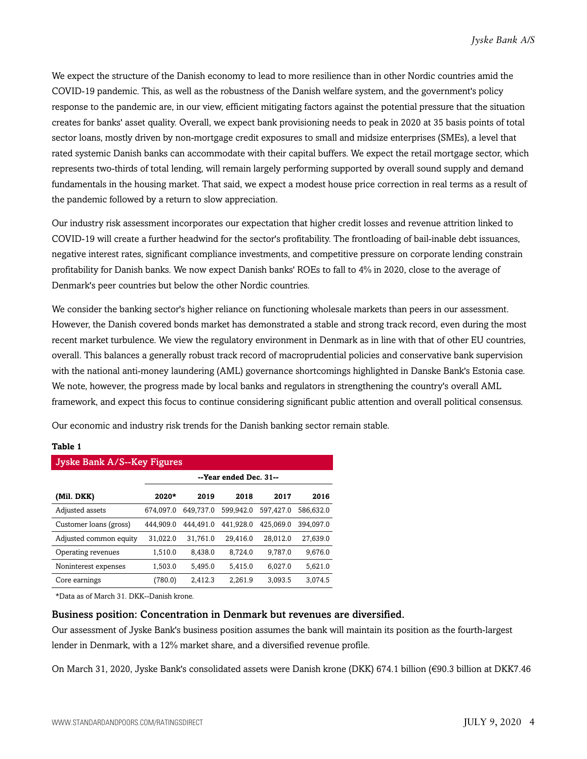We expect the structure of the Danish economy to lead to more resilience than in other Nordic countries amid the COVID-19 pandemic. This, as well as the robustness of the Danish welfare system, and the government's policy response to the pandemic are, in our view, efficient mitigating factors against the potential pressure that the situation creates for banks' asset quality. Overall, we expect bank provisioning needs to peak in 2020 at 35 basis points of total sector loans, mostly driven by non-mortgage credit exposures to small and midsize enterprises (SMEs), a level that rated systemic Danish banks can accommodate with their capital buffers. We expect the retail mortgage sector, which represents two-thirds of total lending, will remain largely performing supported by overall sound supply and demand fundamentals in the housing market. That said, we expect a modest house price correction in real terms as a result of the pandemic followed by a return to slow appreciation.

Our industry risk assessment incorporates our expectation that higher credit losses and revenue attrition linked to COVID-19 will create a further headwind for the sector's profitability. The frontloading of bail-inable debt issuances, negative interest rates, significant compliance investments, and competitive pressure on corporate lending constrain profitability for Danish banks. We now expect Danish banks' ROEs to fall to 4% in 2020, close to the average of Denmark's peer countries but below the other Nordic countries.

We consider the banking sector's higher reliance on functioning wholesale markets than peers in our assessment. However, the Danish covered bonds market has demonstrated a stable and strong track record, even during the most recent market turbulence. We view the regulatory environment in Denmark as in line with that of other EU countries, overall. This balances a generally robust track record of macroprudential policies and conservative bank supervision with the national anti-money laundering (AML) governance shortcomings highlighted in Danske Bank's Estonia case. We note, however, the progress made by local banks and regulators in strengthening the country's overall AML framework, and expect this focus to continue considering significant public attention and overall political consensus.

Our economic and industry risk trends for the Danish banking sector remain stable.

#### **Table 1**

| <b>Jyske Bank A/S--Key Figures</b> |           |                        |           |           |           |  |  |  |  |
|------------------------------------|-----------|------------------------|-----------|-----------|-----------|--|--|--|--|
|                                    |           | --Year ended Dec. 31-- |           |           |           |  |  |  |  |
| (Mil. DKK)                         | $2020*$   | 2019                   | 2018      | 2017      | 2016      |  |  |  |  |
| Adjusted assets                    | 674.097.0 | 649,737.0              | 599.942.0 | 597.427.0 | 586,632.0 |  |  |  |  |
| Customer loans (gross)             | 444.909.0 | 444.491.0              | 441.928.0 | 425,069.0 | 394.097.0 |  |  |  |  |
| Adjusted common equity             | 31.022.0  | 31.761.0               | 29.416.0  | 28.012.0  | 27.639.0  |  |  |  |  |
| Operating revenues                 | 1.510.0   | 8.438.0                | 8.724.0   | 9.787.0   | 9.676.0   |  |  |  |  |
| Noninterest expenses               | 1,503.0   | 5,495.0                | 5,415.0   | 6.027.0   | 5,621.0   |  |  |  |  |
| Core earnings                      | (780.0)   | 2.412.3                | 2.261.9   | 3.093.5   | 3.074.5   |  |  |  |  |

\*Data as of March 31. DKK--Danish krone.

#### Business position: Concentration in Denmark but revenues are diversified.

Our assessment of Jyske Bank's business position assumes the bank will maintain its position as the fourth-largest lender in Denmark, with a 12% market share, and a diversified revenue profile.

On March 31, 2020, Jyske Bank's consolidated assets were Danish krone (DKK) 674.1 billion (€90.3 billion at DKK7.46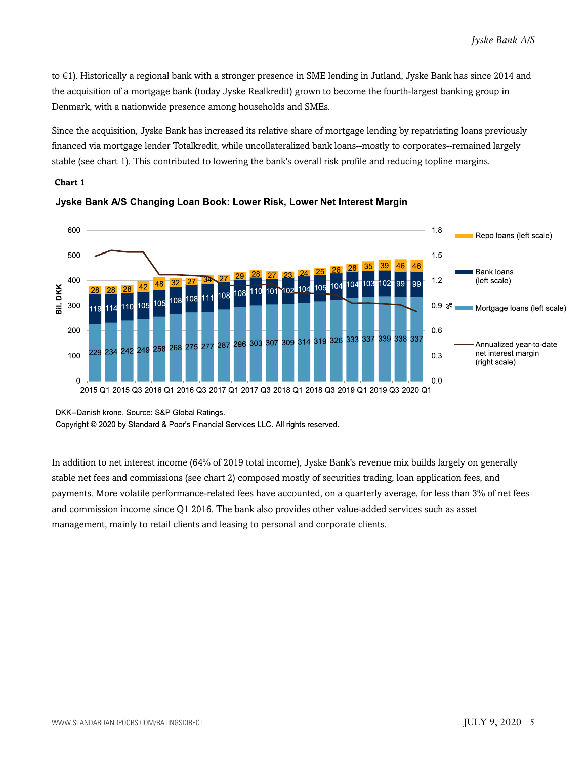to €1). Historically a regional bank with a stronger presence in SME lending in Jutland, Jyske Bank has since 2014 and the acquisition of a mortgage bank (today Jyske Realkredit) grown to become the fourth-largest banking group in Denmark, with a nationwide presence among households and SMEs.

Since the acquisition, Jyske Bank has increased its relative share of mortgage lending by repatriating loans previously financed via mortgage lender Totalkredit, while uncollateralized bank loans--mostly to corporates--remained largely stable (see chart 1). This contributed to lowering the bank's overall risk profile and reducing topline margins.

#### **Chart 1**





DKK--Danish krone. Source: S&P Global Ratings.

Copyright © 2020 by Standard & Poor's Financial Services LLC. All rights reserved.

In addition to net interest income (64% of 2019 total income), Jyske Bank's revenue mix builds largely on generally stable net fees and commissions (see chart 2) composed mostly of securities trading, loan application fees, and payments. More volatile performance-related fees have accounted, on a quarterly average, for less than 3% of net fees and commission income since Q1 2016. The bank also provides other value-added services such as asset management, mainly to retail clients and leasing to personal and corporate clients.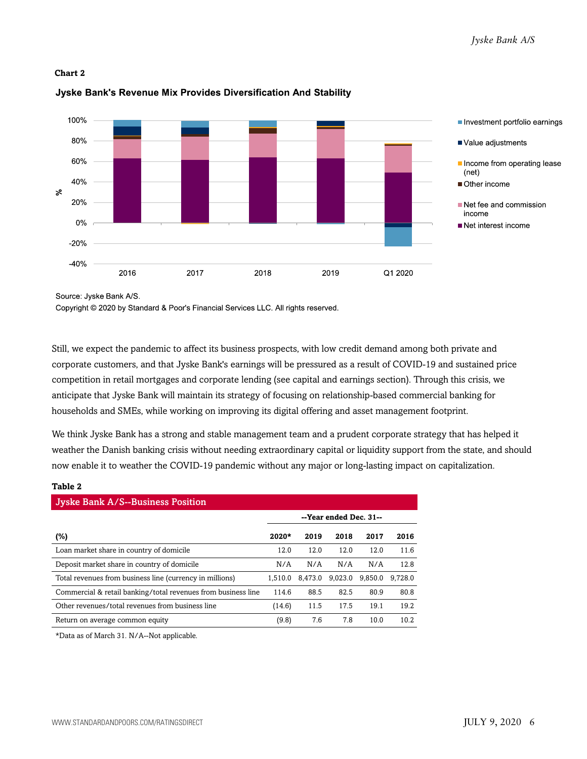#### **Chart 2**

#### 100% Investment portfolio earnings 80% Value adjustments 60% Income from operating lease  $(net)$ 40% Other income  $\geq$ 20% Net fee and commission income  $0%$ Net interest income  $-20%$  $-40%$ 2016 2017 2018 2019 Q1 2020

#### Jyske Bank's Revenue Mix Provides Diversification And Stability

Source: Jyske Bank A/S.

Copyright © 2020 by Standard & Poor's Financial Services LLC. All rights reserved.

Still, we expect the pandemic to affect its business prospects, with low credit demand among both private and corporate customers, and that Jyske Bank's earnings will be pressured as a result of COVID-19 and sustained price competition in retail mortgages and corporate lending (see capital and earnings section). Through this crisis, we anticipate that Jyske Bank will maintain its strategy of focusing on relationship-based commercial banking for households and SMEs, while working on improving its digital offering and asset management footprint.

We think Jyske Bank has a strong and stable management team and a prudent corporate strategy that has helped it weather the Danish banking crisis without needing extraordinary capital or liquidity support from the state, and should now enable it to weather the COVID-19 pandemic without any major or long-lasting impact on capitalization.

#### **Table 2**

| <b>Jyske Bank A/S--Business Position</b>                      |                        |         |         |         |         |  |  |  |  |
|---------------------------------------------------------------|------------------------|---------|---------|---------|---------|--|--|--|--|
|                                                               | --Year ended Dec. 31-- |         |         |         |         |  |  |  |  |
| (%)                                                           | 2020*                  | 2019    | 2018    | 2017    | 2016    |  |  |  |  |
| Loan market share in country of domicile                      | 12.0                   | 12.0    | 12.0    | 12.0    | 11.6    |  |  |  |  |
| Deposit market share in country of domicile                   | N/A                    | N/A     | N/A     | N/A     | 12.8    |  |  |  |  |
| Total revenues from business line (currency in millions)      | 1.510.0                | 8.473.0 | 9.023.0 | 9.850.0 | 9.728.0 |  |  |  |  |
| Commercial & retail banking/total revenues from business line | 114.6                  | 88.5    | 82.5    | 80.9    | 80.8    |  |  |  |  |
| Other revenues/total revenues from business line              | (14.6)                 | 11.5    | 17.5    | 19.1    | 19.2    |  |  |  |  |
| Return on average common equity                               | (9.8)                  | 7.6     | 7.8     | 10.0    | 10.2    |  |  |  |  |

\*Data as of March 31. N/A--Not applicable.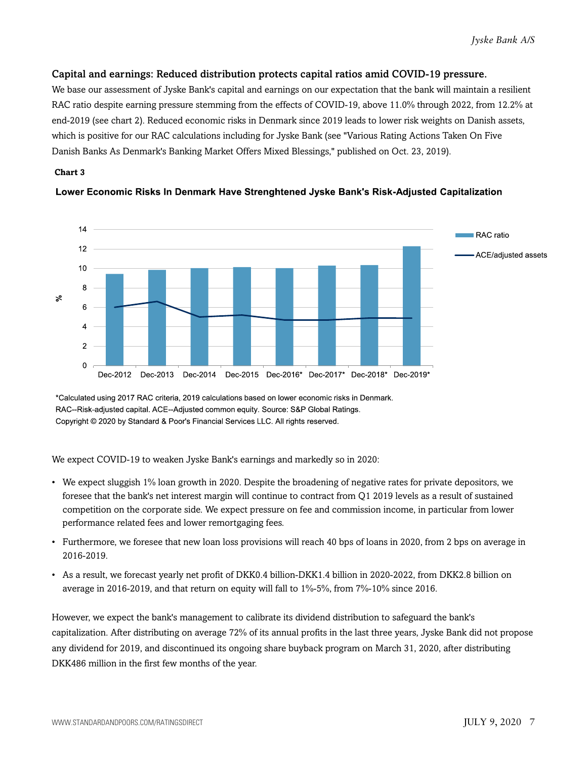#### Capital and earnings: Reduced distribution protects capital ratios amid COVID-19 pressure.

We base our assessment of Jyske Bank's capital and earnings on our expectation that the bank will maintain a resilient RAC ratio despite earning pressure stemming from the effects of COVID-19, above 11.0% through 2022, from 12.2% at end-2019 (see chart 2). Reduced economic risks in Denmark since 2019 leads to lower risk weights on Danish assets, which is positive for our RAC calculations including for Jyske Bank (see "Various Rating Actions Taken On Five Danish Banks As Denmark's Banking Market Offers Mixed Blessings," published on Oct. 23, 2019).

#### **Chart 3**



#### Lower Economic Risks In Denmark Have Strenghtened Jyske Bank's Risk-Adjusted Capitalization

\*Calculated using 2017 RAC criteria. 2019 calculations based on lower economic risks in Denmark. RAC--Risk-adjusted capital. ACE--Adjusted common equity. Source: S&P Global Ratings. Copyright @ 2020 by Standard & Poor's Financial Services LLC. All rights reserved.

We expect COVID-19 to weaken Jyske Bank's earnings and markedly so in 2020:

- We expect sluggish 1% loan growth in 2020. Despite the broadening of negative rates for private depositors, we foresee that the bank's net interest margin will continue to contract from Q1 2019 levels as a result of sustained competition on the corporate side. We expect pressure on fee and commission income, in particular from lower performance related fees and lower remortgaging fees.
- Furthermore, we foresee that new loan loss provisions will reach 40 bps of loans in 2020, from 2 bps on average in 2016-2019.
- As a result, we forecast yearly net profit of DKK0.4 billion-DKK1.4 billion in 2020-2022, from DKK2.8 billion on average in 2016-2019, and that return on equity will fall to 1%-5%, from 7%-10% since 2016.

However, we expect the bank's management to calibrate its dividend distribution to safeguard the bank's capitalization. After distributing on average 72% of its annual profits in the last three years, Jyske Bank did not propose any dividend for 2019, and discontinued its ongoing share buyback program on March 31, 2020, after distributing DKK486 million in the first few months of the year.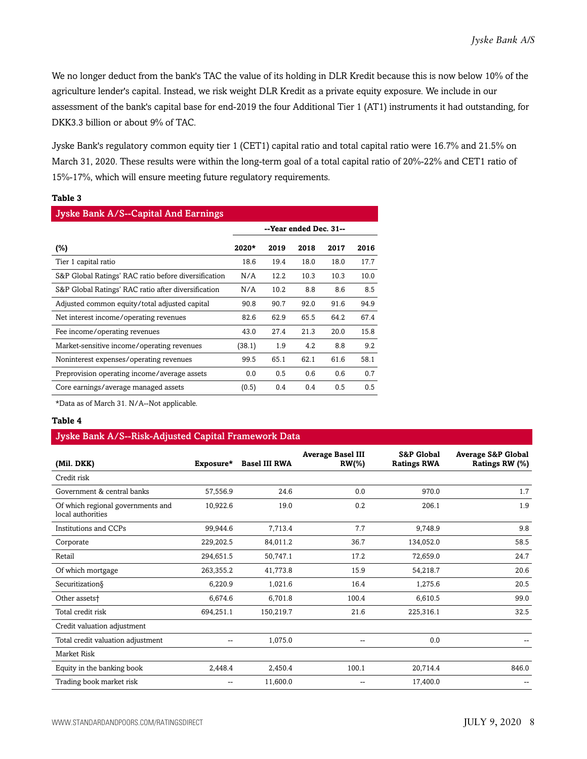We no longer deduct from the bank's TAC the value of its holding in DLR Kredit because this is now below 10% of the agriculture lender's capital. Instead, we risk weight DLR Kredit as a private equity exposure. We include in our assessment of the bank's capital base for end-2019 the four Additional Tier 1 (AT1) instruments it had outstanding, for DKK3.3 billion or about 9% of TAC.

Jyske Bank's regulatory common equity tier 1 (CET1) capital ratio and total capital ratio were 16.7% and 21.5% on March 31, 2020. These results were within the long-term goal of a total capital ratio of 20%-22% and CET1 ratio of 15%-17%, which will ensure meeting future regulatory requirements.

#### **Table 3**

| Jyske Bank A/S--Capital And Earnings                 |        |      |                        |      |      |  |  |  |  |
|------------------------------------------------------|--------|------|------------------------|------|------|--|--|--|--|
|                                                      |        |      | --Year ended Dec. 31-- |      |      |  |  |  |  |
| (%)                                                  | 2020*  | 2019 | 2018                   | 2017 | 2016 |  |  |  |  |
| Tier 1 capital ratio                                 | 18.6   | 19.4 | 18.0                   | 18.0 | 17.7 |  |  |  |  |
| S&P Global Ratings' RAC ratio before diversification | N/A    | 12.2 | 10.3                   | 10.3 | 10.0 |  |  |  |  |
| S&P Global Ratings' RAC ratio after diversification  | N/A    | 10.2 | 8.8                    | 8.6  | 8.5  |  |  |  |  |
| Adjusted common equity/total adjusted capital        | 90.8   | 90.7 | 92.0                   | 91.6 | 94.9 |  |  |  |  |
| Net interest income/operating revenues               | 82.6   | 62.9 | 65.5                   | 64.2 | 67.4 |  |  |  |  |
| Fee income/operating revenues                        | 43.0   | 27.4 | 21.3                   | 20.0 | 15.8 |  |  |  |  |
| Market-sensitive income/operating revenues           | (38.1) | 1.9  | 4.2                    | 8.8  | 9.2  |  |  |  |  |
| Noninterest expenses/operating revenues              | 99.5   | 65.1 | 62.1                   | 61.6 | 58.1 |  |  |  |  |
| Preprovision operating income/average assets         | 0.0    | 0.5  | 0.6                    | 0.6  | 0.7  |  |  |  |  |
| Core earnings/average managed assets                 | (0.5)  | 0.4  | 0.4                    | 0.5  | 0.5  |  |  |  |  |

\*Data as of March 31. N/A--Not applicable.

#### **Table 4**

#### Jyske Bank A/S--Risk-Adjusted Capital Framework Data

| (Mil. DKK)                                             | Exposure* | <b>Basel III RWA</b> | <b>Average Basel III</b><br>$RW(\% )$ | <b>S&amp;P Global</b><br><b>Ratings RWA</b> | <b>Average S&amp;P Global</b><br>Ratings RW (%) |
|--------------------------------------------------------|-----------|----------------------|---------------------------------------|---------------------------------------------|-------------------------------------------------|
| Credit risk                                            |           |                      |                                       |                                             |                                                 |
| Government & central banks                             | 57,556.9  | 24.6                 | 0.0                                   | 970.0                                       | 1.7                                             |
| Of which regional governments and<br>local authorities | 10,922.6  | 19.0                 | 0.2                                   | 206.1                                       | 1.9                                             |
| Institutions and CCPs                                  | 99,944.6  | 7,713.4              | 7.7                                   | 9,748.9                                     | 9.8                                             |
| Corporate                                              | 229,202.5 | 84,011.2             | 36.7                                  | 134,052.0                                   | 58.5                                            |
| Retail                                                 | 294,651.5 | 50,747.1             | 17.2                                  | 72,659.0                                    | 24.7                                            |
| Of which mortgage                                      | 263,355.2 | 41,773.8             | 15.9                                  | 54,218.7                                    | 20.6                                            |
| Securitization§                                        | 6,220.9   | 1,021.6              | 16.4                                  | 1,275.6                                     | 20.5                                            |
| Other assets <sup>+</sup>                              | 6,674.6   | 6,701.8              | 100.4                                 | 6,610.5                                     | 99.0                                            |
| Total credit risk                                      | 694,251.1 | 150,219.7            | 21.6                                  | 225,316.1                                   | 32.5                                            |
| Credit valuation adjustment                            |           |                      |                                       |                                             |                                                 |
| Total credit valuation adjustment                      |           | 1,075.0              | --                                    | 0.0                                         |                                                 |
| Market Risk                                            |           |                      |                                       |                                             |                                                 |
| Equity in the banking book                             | 2,448.4   | 2,450.4              | 100.1                                 | 20,714.4                                    | 846.0                                           |
| Trading book market risk                               |           | 11,600.0             | --                                    | 17,400.0                                    |                                                 |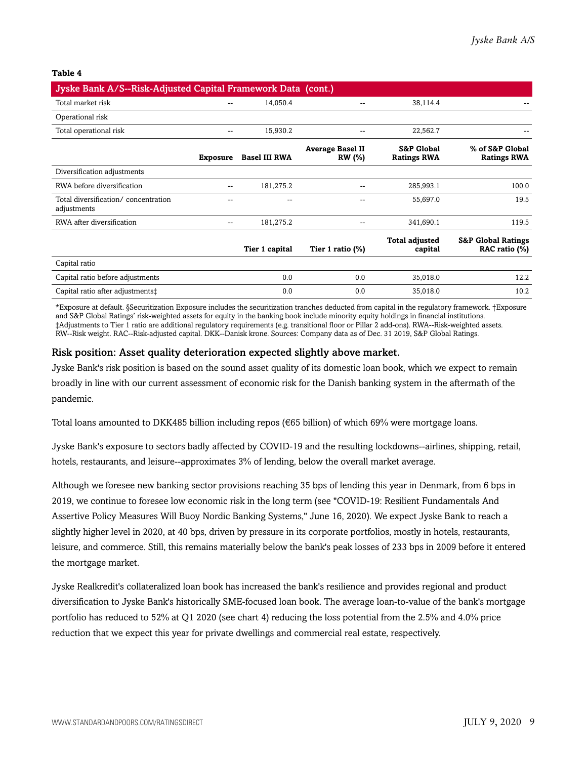#### **Table 4**

| Jyske Bank A/S--Risk-Adjusted Capital Framework Data (cont.) |                 |                      |                                          |                                             |                                                |
|--------------------------------------------------------------|-----------------|----------------------|------------------------------------------|---------------------------------------------|------------------------------------------------|
| Total market risk                                            |                 | 14,050.4             | --                                       | 38,114.4                                    |                                                |
| Operational risk                                             |                 |                      |                                          |                                             |                                                |
| Total operational risk                                       |                 | 15,930.2             |                                          | 22,562.7                                    |                                                |
|                                                              | <b>Exposure</b> | <b>Basel III RWA</b> | <b>Average Basel II</b><br><b>RW</b> (%) | <b>S&amp;P Global</b><br><b>Ratings RWA</b> | % of S&P Global<br><b>Ratings RWA</b>          |
| Diversification adjustments                                  |                 |                      |                                          |                                             |                                                |
| RWA before diversification                                   | --              | 181,275.2            | --                                       | 285,993.1                                   | 100.0                                          |
| Total diversification/concentration<br>adjustments           |                 |                      |                                          | 55,697.0                                    | 19.5                                           |
| RWA after diversification                                    | --              | 181,275.2            | --                                       | 341,690.1                                   | 119.5                                          |
|                                                              |                 | Tier 1 capital       | Tier 1 ratio $(\%)$                      | <b>Total adjusted</b><br>capital            | <b>S&amp;P Global Ratings</b><br>RAC ratio (%) |
| Capital ratio                                                |                 |                      |                                          |                                             |                                                |
| Capital ratio before adjustments                             |                 | 0.0                  | 0.0                                      | 35,018.0                                    | 12.2                                           |
| Capital ratio after adjustments:                             |                 | 0.0                  | 0.0                                      | 35,018.0                                    | 10.2                                           |

\*Exposure at default. §Securitization Exposure includes the securitization tranches deducted from capital in the regulatory framework. †Exposure and S&P Global Ratings' risk-weighted assets for equity in the banking book include minority equity holdings in financial institutions. ‡Adjustments to Tier 1 ratio are additional regulatory requirements (e.g. transitional floor or Pillar 2 add-ons). RWA--Risk-weighted assets. RW--Risk weight. RAC--Risk-adjusted capital. DKK--Danisk krone. Sources: Company data as of Dec. 31 2019, S&P Global Ratings.

#### Risk position: Asset quality deterioration expected slightly above market.

Jyske Bank's risk position is based on the sound asset quality of its domestic loan book, which we expect to remain broadly in line with our current assessment of economic risk for the Danish banking system in the aftermath of the pandemic.

Total loans amounted to DKK485 billion including repos (€65 billion) of which 69% were mortgage loans.

Jyske Bank's exposure to sectors badly affected by COVID-19 and the resulting lockdowns--airlines, shipping, retail, hotels, restaurants, and leisure--approximates 3% of lending, below the overall market average.

Although we foresee new banking sector provisions reaching 35 bps of lending this year in Denmark, from 6 bps in 2019, we continue to foresee low economic risk in the long term (see "COVID-19: Resilient Fundamentals And Assertive Policy Measures Will Buoy Nordic Banking Systems," June 16, 2020). We expect Jyske Bank to reach a slightly higher level in 2020, at 40 bps, driven by pressure in its corporate portfolios, mostly in hotels, restaurants, leisure, and commerce. Still, this remains materially below the bank's peak losses of 233 bps in 2009 before it entered the mortgage market.

Jyske Realkredit's collateralized loan book has increased the bank's resilience and provides regional and product diversification to Jyske Bank's historically SME-focused loan book. The average loan-to-value of the bank's mortgage portfolio has reduced to 52% at Q1 2020 (see chart 4) reducing the loss potential from the 2.5% and 4.0% price reduction that we expect this year for private dwellings and commercial real estate, respectively.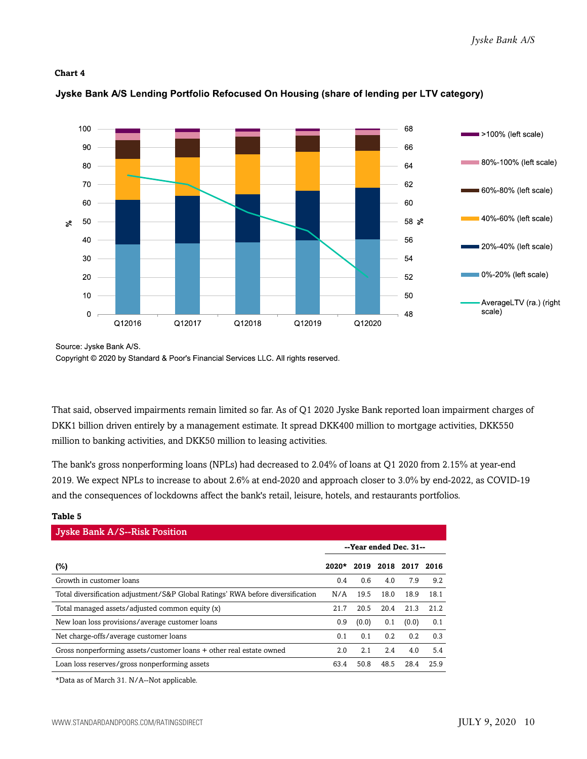#### **Chart 4**



#### Jyske Bank A/S Lending Portfolio Refocused On Housing (share of lending per LTV category)

Copyright © 2020 by Standard & Poor's Financial Services LLC. All rights reserved.

That said, observed impairments remain limited so far. As of Q1 2020 Jyske Bank reported loan impairment charges of DKK1 billion driven entirely by a management estimate. It spread DKK400 million to mortgage activities, DKK550 million to banking activities, and DKK50 million to leasing activities.

The bank's gross nonperforming loans (NPLs) had decreased to 2.04% of loans at Q1 2020 from 2.15% at year-end 2019. We expect NPLs to increase to about 2.6% at end-2020 and approach closer to 3.0% by end-2022, as COVID-19 and the consequences of lockdowns affect the bank's retail, leisure, hotels, and restaurants portfolios.

#### **Table 5**

| <b>Jyske Bank A/S--Risk Position</b>                                            |                        |       |      |           |      |  |  |  |  |
|---------------------------------------------------------------------------------|------------------------|-------|------|-----------|------|--|--|--|--|
|                                                                                 | --Year ended Dec. 31-- |       |      |           |      |  |  |  |  |
| (%)                                                                             | $2020*$                | 2019  |      | 2018 2017 | 2016 |  |  |  |  |
| Growth in customer loans                                                        | 0.4                    | 0.6   | 4.0  | 7.9       | 9.2  |  |  |  |  |
| Total diversification adjustment/S&P Global Ratings' RWA before diversification | N/A                    | 19.5  | 18.0 | 18.9      | 18.1 |  |  |  |  |
| Total managed assets/adjusted common equity (x)                                 | 21.7                   | 20.5  | 20.4 | 21.3      | 21.2 |  |  |  |  |
| New loan loss provisions/average customer loans                                 | 0.9                    | (0.0) | 0.1  | (0.0)     | 0.1  |  |  |  |  |
| Net charge-offs/average customer loans                                          | 0.1                    | 0.1   | 0.2  | 0.2       | 0.3  |  |  |  |  |
| Gross nonperforming assets/customer loans + other real estate owned             | 2.0                    | 2.1   | 2.4  | 4.0       | 5.4  |  |  |  |  |
| Loan loss reserves/gross nonperforming assets                                   | 63.4                   | 50.8  | 48.5 | 28.4      | 25.9 |  |  |  |  |

\*Data as of March 31. N/A--Not applicable.

Source: Jyske Bank A/S.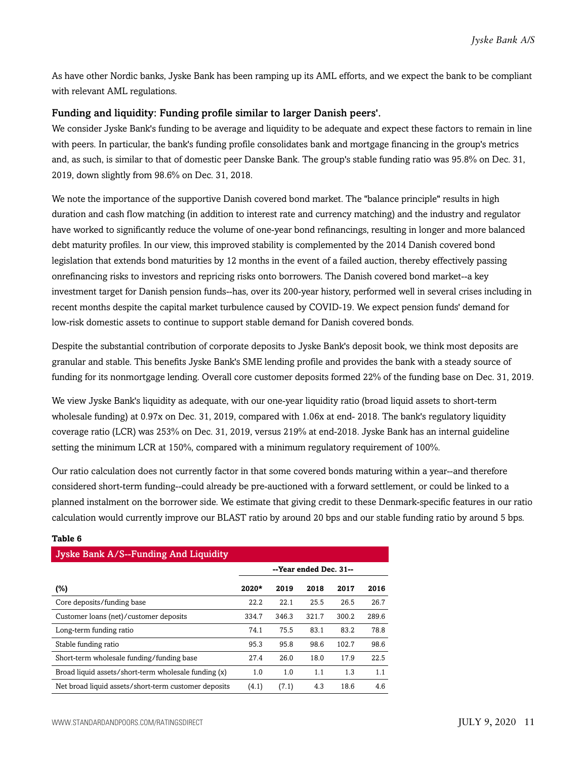As have other Nordic banks, Jyske Bank has been ramping up its AML efforts, and we expect the bank to be compliant with relevant AML regulations.

#### Funding and liquidity: Funding profile similar to larger Danish peers'.

We consider Jyske Bank's funding to be average and liquidity to be adequate and expect these factors to remain in line with peers. In particular, the bank's funding profile consolidates bank and mortgage financing in the group's metrics and, as such, is similar to that of domestic peer Danske Bank. The group's stable funding ratio was 95.8% on Dec. 31, 2019, down slightly from 98.6% on Dec. 31, 2018.

We note the importance of the supportive Danish covered bond market. The "balance principle" results in high duration and cash flow matching (in addition to interest rate and currency matching) and the industry and regulator have worked to significantly reduce the volume of one-year bond refinancings, resulting in longer and more balanced debt maturity profiles. In our view, this improved stability is complemented by the 2014 Danish covered bond legislation that extends bond maturities by 12 months in the event of a failed auction, thereby effectively passing onrefinancing risks to investors and repricing risks onto borrowers. The Danish covered bond market--a key investment target for Danish pension funds--has, over its 200-year history, performed well in several crises including in recent months despite the capital market turbulence caused by COVID-19. We expect pension funds' demand for low-risk domestic assets to continue to support stable demand for Danish covered bonds.

Despite the substantial contribution of corporate deposits to Jyske Bank's deposit book, we think most deposits are granular and stable. This benefits Jyske Bank's SME lending profile and provides the bank with a steady source of funding for its nonmortgage lending. Overall core customer deposits formed 22% of the funding base on Dec. 31, 2019.

We view Jyske Bank's liquidity as adequate, with our one-year liquidity ratio (broad liquid assets to short-term wholesale funding) at 0.97x on Dec. 31, 2019, compared with 1.06x at end- 2018. The bank's regulatory liquidity coverage ratio (LCR) was 253% on Dec. 31, 2019, versus 219% at end-2018. Jyske Bank has an internal guideline setting the minimum LCR at 150%, compared with a minimum regulatory requirement of 100%.

Our ratio calculation does not currently factor in that some covered bonds maturing within a year--and therefore considered short-term funding--could already be pre-auctioned with a forward settlement, or could be linked to a planned instalment on the borrower side. We estimate that giving credit to these Denmark-specific features in our ratio calculation would currently improve our BLAST ratio by around 20 bps and our stable funding ratio by around 5 bps.

| Jyske Bank A/S--Funding And Liquidity                |                        |       |       |       |       |  |  |  |  |
|------------------------------------------------------|------------------------|-------|-------|-------|-------|--|--|--|--|
|                                                      | --Year ended Dec. 31-- |       |       |       |       |  |  |  |  |
| (%)                                                  | 2020*                  | 2019  | 2018  | 2017  | 2016  |  |  |  |  |
| Core deposits/funding base                           | 22.2                   | 22.1  | 25.5  | 26.5  | 26.7  |  |  |  |  |
| Customer loans (net)/customer deposits               | 334.7                  | 346.3 | 321.7 | 300.2 | 289.6 |  |  |  |  |
| Long-term funding ratio                              | 74.1                   | 75.5  | 83.1  | 83.2  | 78.8  |  |  |  |  |
| Stable funding ratio                                 | 95.3                   | 95.8  | 98.6  | 102.7 | 98.6  |  |  |  |  |
| Short-term wholesale funding/funding base            | 27.4                   | 26.0  | 18.0  | 17.9  | 22.5  |  |  |  |  |
| Broad liquid assets/short-term wholesale funding (x) | 1.0                    | 1.0   | 1.1   | 1.3   | 1.1   |  |  |  |  |
| Net broad liquid assets/short-term customer deposits | (4.1)                  | (7.1) | 4.3   | 18.6  | 4.6   |  |  |  |  |

#### **Table 6**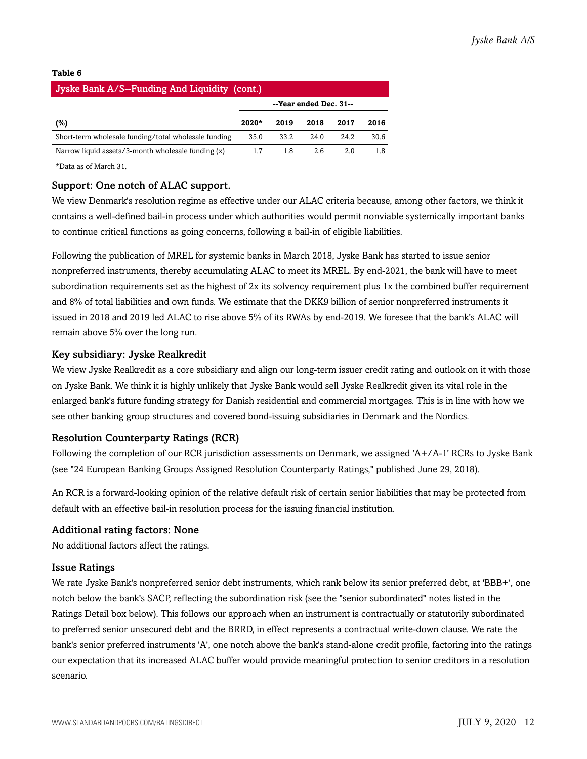#### **Table 6**

| Jyske Bank A/S--Funding And Liquidity (cont.)        |         |      |                        |      |      |  |  |  |
|------------------------------------------------------|---------|------|------------------------|------|------|--|--|--|
|                                                      |         |      | --Year ended Dec. 31-- |      |      |  |  |  |
| (%)                                                  | $2020*$ | 2019 | 2018                   | 2017 | 2016 |  |  |  |
| Short-term wholesale funding/total wholesale funding | 35.0    | 33.2 | 24.0                   | 24.2 | 30.6 |  |  |  |
| Narrow liquid assets/3-month wholesale funding (x)   | 1.7     | 1.8  | 2.6                    | 2.0  | 1.8  |  |  |  |

\*Data as of March 31.

#### Support: One notch of ALAC support.

We view Denmark's resolution regime as effective under our ALAC criteria because, among other factors, we think it contains a well-defined bail-in process under which authorities would permit nonviable systemically important banks to continue critical functions as going concerns, following a bail-in of eligible liabilities.

Following the publication of MREL for systemic banks in March 2018, Jyske Bank has started to issue senior nonpreferred instruments, thereby accumulating ALAC to meet its MREL. By end-2021, the bank will have to meet subordination requirements set as the highest of 2x its solvency requirement plus 1x the combined buffer requirement and 8% of total liabilities and own funds. We estimate that the DKK9 billion of senior nonpreferred instruments it issued in 2018 and 2019 led ALAC to rise above 5% of its RWAs by end-2019. We foresee that the bank's ALAC will remain above 5% over the long run.

#### Key subsidiary: Jyske Realkredit

We view Jyske Realkredit as a core subsidiary and align our long-term issuer credit rating and outlook on it with those on Jyske Bank. We think it is highly unlikely that Jyske Bank would sell Jyske Realkredit given its vital role in the enlarged bank's future funding strategy for Danish residential and commercial mortgages. This is in line with how we see other banking group structures and covered bond-issuing subsidiaries in Denmark and the Nordics.

#### Resolution Counterparty Ratings (RCR)

Following the completion of our RCR jurisdiction assessments on Denmark, we assigned 'A+/A-1' RCRs to Jyske Bank (see "24 European Banking Groups Assigned Resolution Counterparty Ratings," published June 29, 2018).

An RCR is a forward-looking opinion of the relative default risk of certain senior liabilities that may be protected from default with an effective bail-in resolution process for the issuing financial institution.

#### Additional rating factors: None

No additional factors affect the ratings.

#### Issue Ratings

We rate Jyske Bank's nonpreferred senior debt instruments, which rank below its senior preferred debt, at 'BBB+', one notch below the bank's SACP, reflecting the subordination risk (see the "senior subordinated" notes listed in the Ratings Detail box below). This follows our approach when an instrument is contractually or statutorily subordinated to preferred senior unsecured debt and the BRRD, in effect represents a contractual write-down clause. We rate the bank's senior preferred instruments 'A', one notch above the bank's stand-alone credit profile, factoring into the ratings our expectation that its increased ALAC buffer would provide meaningful protection to senior creditors in a resolution scenario.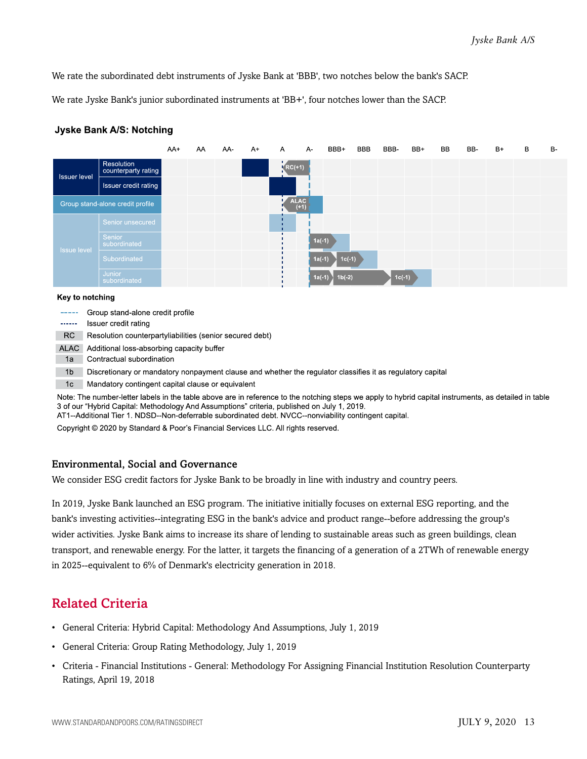We rate the subordinated debt instruments of Jyske Bank at 'BBB', two notches below the bank's SACP.

We rate Jyske Bank's junior subordinated instruments at 'BB+', four notches lower than the SACP.



#### **Jyske Bank A/S: Notching**

#### Key to notching

| -----  | Group stand-alone credit profile                                                                           |
|--------|------------------------------------------------------------------------------------------------------------|
| ------ | Issuer credit rating                                                                                       |
| RC.    | Resolution counterpartyliabilities (senior secured debt)                                                   |
| ALAC   | Additional loss-absorbing capacity buffer                                                                  |
| 1a     | Contractual subordination                                                                                  |
| 1b     | Discretionary or mandatory nonpayment clause and whether the regulator classifies it as regulatory capital |
| 1c     | Mandatory contingent capital clause or equivalent                                                          |

Note: The number-letter labels in the table above are in reference to the notching steps we apply to hybrid capital instruments, as detailed in table 3 of our "Hybrid Capital: Methodology And Assumptions" criteria, published on July 1, 2019.

AT1--Additional Tier 1. NDSD--Non-deferrable subordinated debt. NVCC--nonviability contingent capital.

Copyright © 2020 by Standard & Poor's Financial Services LLC. All rights reserved.

#### Environmental, Social and Governance

We consider ESG credit factors for Jyske Bank to be broadly in line with industry and country peers.

In 2019, Jyske Bank launched an ESG program. The initiative initially focuses on external ESG reporting, and the bank's investing activities--integrating ESG in the bank's advice and product range--before addressing the group's wider activities. Jyske Bank aims to increase its share of lending to sustainable areas such as green buildings, clean transport, and renewable energy. For the latter, it targets the financing of a generation of a 2TWh of renewable energy in 2025--equivalent to 6% of Denmark's electricity generation in 2018.

### <span id="page-12-0"></span>Related Criteria

- General Criteria: Hybrid Capital: Methodology And Assumptions, July 1, 2019
- General Criteria: Group Rating Methodology, July 1, 2019
- Criteria Financial Institutions General: Methodology For Assigning Financial Institution Resolution Counterparty Ratings, April 19, 2018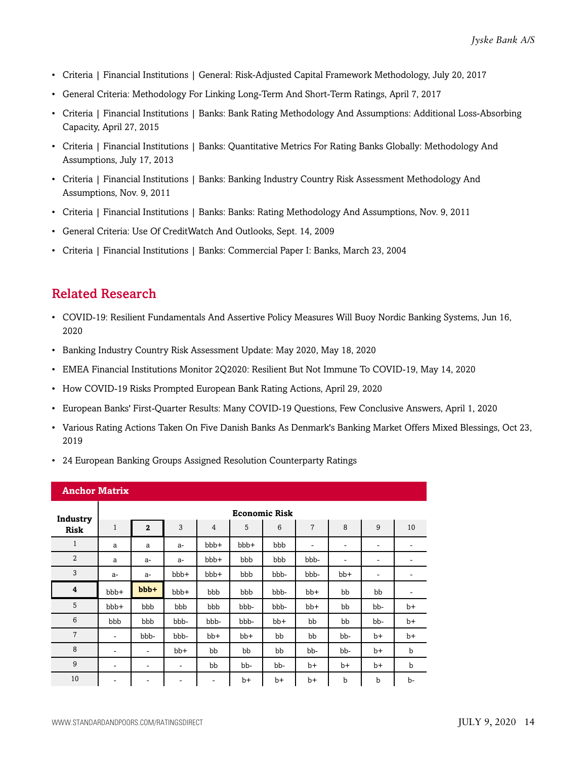- Criteria | Financial Institutions | General: Risk-Adjusted Capital Framework Methodology, July 20, 2017
- General Criteria: Methodology For Linking Long-Term And Short-Term Ratings, April 7, 2017
- Criteria | Financial Institutions | Banks: Bank Rating Methodology And Assumptions: Additional Loss-Absorbing Capacity, April 27, 2015
- Criteria | Financial Institutions | Banks: Quantitative Metrics For Rating Banks Globally: Methodology And Assumptions, July 17, 2013
- Criteria | Financial Institutions | Banks: Banking Industry Country Risk Assessment Methodology And Assumptions, Nov. 9, 2011
- Criteria | Financial Institutions | Banks: Banks: Rating Methodology And Assumptions, Nov. 9, 2011
- General Criteria: Use Of CreditWatch And Outlooks, Sept. 14, 2009
- Criteria | Financial Institutions | Banks: Commercial Paper I: Banks, March 23, 2004

## <span id="page-13-0"></span>Related Research

- COVID-19: Resilient Fundamentals And Assertive Policy Measures Will Buoy Nordic Banking Systems, Jun 16, 2020
- Banking Industry Country Risk Assessment Update: May 2020, May 18, 2020
- EMEA Financial Institutions Monitor 2Q2020: Resilient But Not Immune To COVID-19, May 14, 2020
- How COVID-19 Risks Prompted European Bank Rating Actions, April 29, 2020
- European Banks' First-Quarter Results: Many COVID-19 Questions, Few Conclusive Answers, April 1, 2020
- Various Rating Actions Taken On Five Danish Banks As Denmark's Banking Market Offers Mixed Blessings, Oct 23, 2019
- 24 European Banking Groups Assigned Resolution Counterparty Ratings

| <b>Anchor Matrix</b>    |                          |                |       |                |       |       |       |       |      |      |  |
|-------------------------|--------------------------|----------------|-------|----------------|-------|-------|-------|-------|------|------|--|
| Industry                | <b>Economic Risk</b>     |                |       |                |       |       |       |       |      |      |  |
| <b>Risk</b>             | $\mathbf{1}$             | $\overline{2}$ | 3     | $\overline{4}$ | 5     | 6     | 7     | 8     | 9    | 10   |  |
| $\mathbf{1}$            | a                        | a              | $a-$  | bbb+           | bbb+  | bbb   | ۰     | -     | ۰    | ۰    |  |
| $\overline{2}$          | a                        | $a-$           | $a-$  | bbb+           | bbb   | bbb   | bbb-  | -     | ۰    | -    |  |
| 3                       | a-                       | $a-$           | bbb+  | bbb+           | bbb   | bbb-  | bbb-  | $bb+$ | -    | ٠    |  |
| $\overline{\mathbf{4}}$ | bbb+                     | $bbb +$        | bbb+  | bbb            | bbb   | bbb-  | $bb+$ | bb    | bb   | ۰    |  |
| 5                       | bbb+                     | bbb            | bbb   | bbb            | bbb-  | bbb-  | $bb+$ | bb    | bb-  | $b+$ |  |
| 6                       | bbb                      | bbb            | bbb-  | bbb-           | bbb-  | $bb+$ | bb    | bb    | bb-  | $b+$ |  |
| $\overline{7}$          | ٠                        | bbb-           | bbb-  | $bb+$          | $bb+$ | bb    | bb    | bb-   | $b+$ | $b+$ |  |
| 8                       | $\overline{\phantom{a}}$ | ۰              | $bb+$ | bb             | bb    | bb    | bb-   | bb-   | $b+$ | b    |  |
| 9                       | ۰                        | ۰              | ۰     | bb             | bb-   | bb-   | $b+$  | $b+$  | $b+$ | b    |  |
| 10                      | ۰                        | ۰              | ۰     | -              | $b+$  | $b+$  | $b+$  | b     | b    | b-   |  |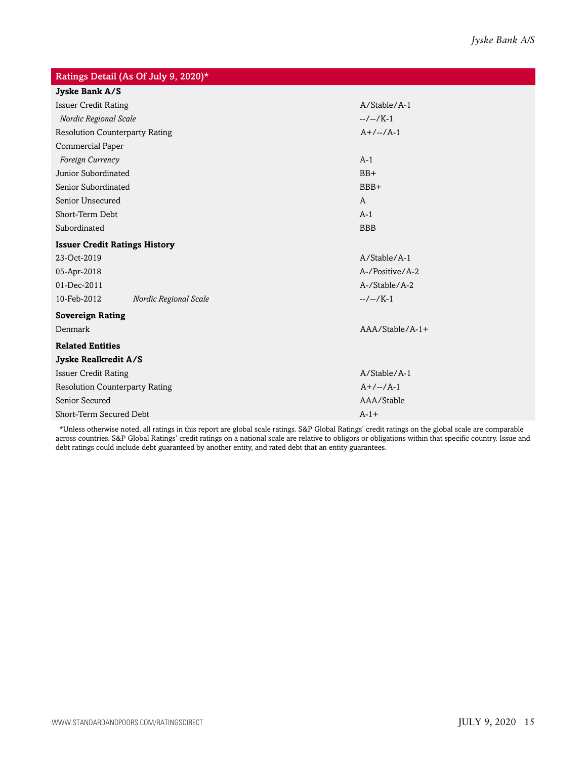| Ratings Detail (As Of July 9, 2020)*  |  |                 |  |  |  |  |  |  |
|---------------------------------------|--|-----------------|--|--|--|--|--|--|
| Jyske Bank A/S                        |  |                 |  |  |  |  |  |  |
| <b>Issuer Credit Rating</b>           |  | A/Stable/A-1    |  |  |  |  |  |  |
| Nordic Regional Scale                 |  | $-/-/K-1$       |  |  |  |  |  |  |
| <b>Resolution Counterparty Rating</b> |  | $A+/-/A-1$      |  |  |  |  |  |  |
| Commercial Paper                      |  |                 |  |  |  |  |  |  |
| Foreign Currency                      |  | $A-1$           |  |  |  |  |  |  |
| Junior Subordinated                   |  | $BB+$           |  |  |  |  |  |  |
| Senior Subordinated                   |  | BBB+            |  |  |  |  |  |  |
| Senior Unsecured                      |  | $\mathsf{A}$    |  |  |  |  |  |  |
| Short-Term Debt                       |  | $A-1$           |  |  |  |  |  |  |
| Subordinated                          |  | <b>BBB</b>      |  |  |  |  |  |  |
| <b>Issuer Credit Ratings History</b>  |  |                 |  |  |  |  |  |  |
| 23-Oct-2019                           |  | A/Stable/A-1    |  |  |  |  |  |  |
| 05-Apr-2018                           |  | A-/Positive/A-2 |  |  |  |  |  |  |
| 01-Dec-2011                           |  | A-/Stable/A-2   |  |  |  |  |  |  |
| 10-Feb-2012<br>Nordic Regional Scale  |  | $-/-/K-1$       |  |  |  |  |  |  |
| <b>Sovereign Rating</b>               |  |                 |  |  |  |  |  |  |
| Denmark                               |  | AAA/Stable/A-1+ |  |  |  |  |  |  |
| <b>Related Entities</b>               |  |                 |  |  |  |  |  |  |
| Jyske Realkredit A/S                  |  |                 |  |  |  |  |  |  |
| <b>Issuer Credit Rating</b>           |  | A/Stable/A-1    |  |  |  |  |  |  |
| <b>Resolution Counterparty Rating</b> |  | $A+/-/-/A-1$    |  |  |  |  |  |  |
| Senior Secured                        |  | AAA/Stable      |  |  |  |  |  |  |
| Short-Term Secured Debt               |  | $A-1+$          |  |  |  |  |  |  |

\*Unless otherwise noted, all ratings in this report are global scale ratings. S&P Global Ratings' credit ratings on the global scale are comparable across countries. S&P Global Ratings' credit ratings on a national scale are relative to obligors or obligations within that specific country. Issue and debt ratings could include debt guaranteed by another entity, and rated debt that an entity guarantees.